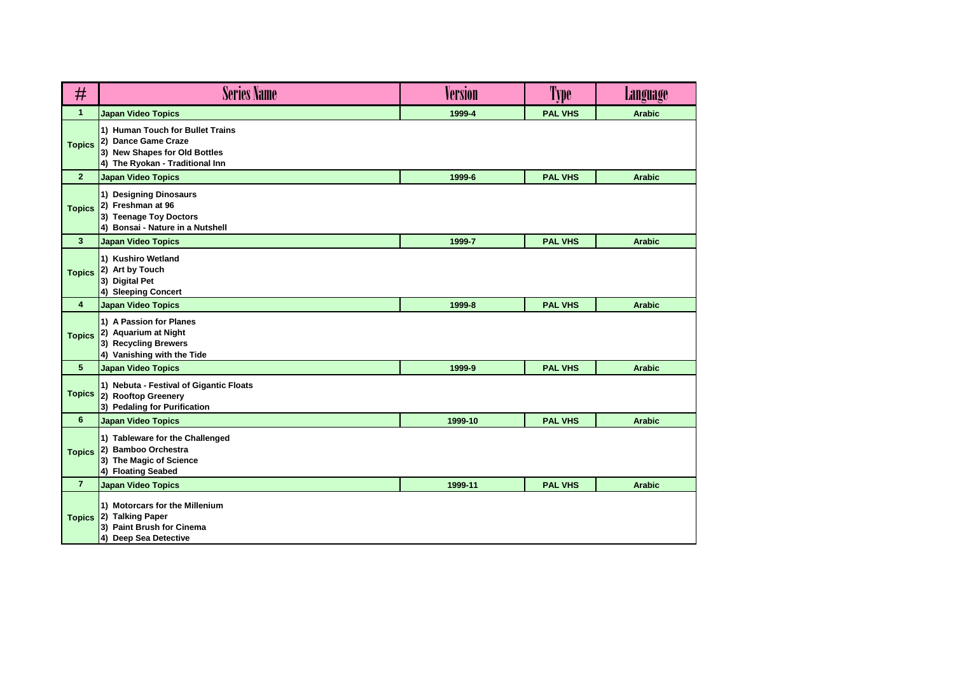| #               | <b>Series Name</b>                                                                                                          | <b>Version</b> | Type           | <b>Language</b> |
|-----------------|-----------------------------------------------------------------------------------------------------------------------------|----------------|----------------|-----------------|
| $\mathbf{1}$    | <b>Japan Video Topics</b>                                                                                                   | 1999-4         | <b>PAL VHS</b> | <b>Arabic</b>   |
| <b>Topics</b>   | 1) Human Touch for Bullet Trains<br>2) Dance Game Craze<br>3) New Shapes for Old Bottles<br>4) The Ryokan - Traditional Inn |                |                |                 |
| $\mathbf{2}$    | <b>Japan Video Topics</b>                                                                                                   | 1999-6         | <b>PAL VHS</b> | <b>Arabic</b>   |
| <b>Topics</b>   | 1) Designing Dinosaurs<br>2) Freshman at 96<br>3) Teenage Toy Doctors<br>4) Bonsai - Nature in a Nutshell                   |                |                |                 |
| $\mathbf{3}$    | <b>Japan Video Topics</b>                                                                                                   | 1999-7         | <b>PAL VHS</b> | <b>Arabic</b>   |
| <b>Topics</b>   | 1) Kushiro Wetland<br>2) Art by Touch<br>3) Digital Pet<br>4) Sleeping Concert                                              |                |                |                 |
| 4               | <b>Japan Video Topics</b>                                                                                                   | 1999-8         | <b>PAL VHS</b> | <b>Arabic</b>   |
| <b>Topics</b>   | 1) A Passion for Planes<br>2) Aquarium at Night<br>3) Recycling Brewers<br>4) Vanishing with the Tide                       |                |                |                 |
| $5\phantom{.0}$ | <b>Japan Video Topics</b>                                                                                                   | 1999-9         | <b>PAL VHS</b> | <b>Arabic</b>   |
| <b>Topics</b>   | 1) Nebuta - Festival of Gigantic Floats<br>2) Rooftop Greenery<br>3) Pedaling for Purification                              |                |                |                 |
| 6               | <b>Japan Video Topics</b>                                                                                                   | 1999-10        | <b>PAL VHS</b> | <b>Arabic</b>   |
| <b>Topics</b>   | 1) Tableware for the Challenged<br>2) Bamboo Orchestra<br>3) The Magic of Science<br>4) Floating Seabed                     |                |                |                 |
| $\overline{7}$  | <b>Japan Video Topics</b>                                                                                                   | 1999-11        | <b>PAL VHS</b> | <b>Arabic</b>   |
|                 | 1) Motorcars for the Millenium<br>Topics 2) Talking Paper<br>3) Paint Brush for Cinema<br>4) Deep Sea Detective             |                |                |                 |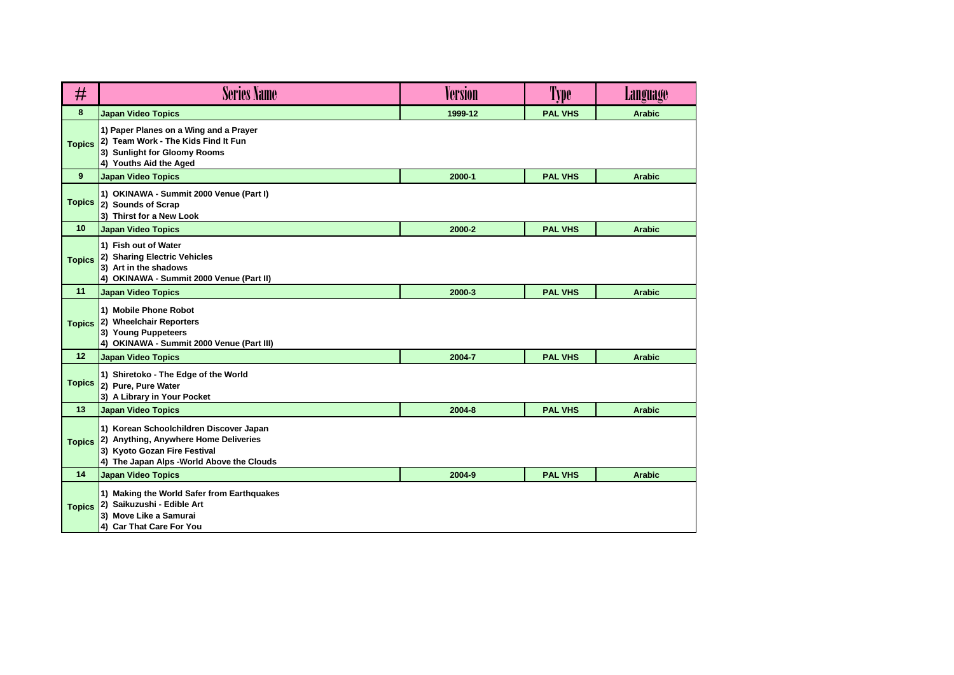| #             | <b>Series Name</b>                                                                                                                                             | <b>Version</b> | Type           | Language      |
|---------------|----------------------------------------------------------------------------------------------------------------------------------------------------------------|----------------|----------------|---------------|
| 8             | <b>Japan Video Topics</b>                                                                                                                                      | 1999-12        | <b>PAL VHS</b> | <b>Arabic</b> |
| <b>Topics</b> | 1) Paper Planes on a Wing and a Prayer<br>2) Team Work - The Kids Find It Fun<br>3) Sunlight for Gloomy Rooms<br>4) Youths Aid the Aged                        |                |                |               |
| 9             | <b>Japan Video Topics</b>                                                                                                                                      | 2000-1         | <b>PAL VHS</b> | <b>Arabic</b> |
| <b>Topics</b> | 1) OKINAWA - Summit 2000 Venue (Part I)<br>2) Sounds of Scrap<br>3) Thirst for a New Look                                                                      |                |                |               |
| 10            | <b>Japan Video Topics</b>                                                                                                                                      | 2000-2         | <b>PAL VHS</b> | <b>Arabic</b> |
| <b>Topics</b> | 1) Fish out of Water<br>2) Sharing Electric Vehicles<br>3) Art in the shadows<br>4) OKINAWA - Summit 2000 Venue (Part II)                                      |                |                |               |
| 11            | <b>Japan Video Topics</b>                                                                                                                                      | 2000-3         | <b>PAL VHS</b> | <b>Arabic</b> |
| <b>Topics</b> | 1) Mobile Phone Robot<br>2) Wheelchair Reporters<br>3) Young Puppeteers<br>4) OKINAWA - Summit 2000 Venue (Part III)                                           |                |                |               |
| 12            | <b>Japan Video Topics</b>                                                                                                                                      | 2004-7         | <b>PAL VHS</b> | <b>Arabic</b> |
| <b>Topics</b> | 1) Shiretoko - The Edge of the World<br>2) Pure, Pure Water<br>3) A Library in Your Pocket                                                                     |                |                |               |
| 13            | <b>Japan Video Topics</b>                                                                                                                                      | 2004-8         | <b>PAL VHS</b> | <b>Arabic</b> |
| <b>Topics</b> | 1) Korean Schoolchildren Discover Japan<br>2) Anything, Anywhere Home Deliveries<br>3) Kyoto Gozan Fire Festival<br>4) The Japan Alps - World Above the Clouds |                |                |               |
| 14            | <b>Japan Video Topics</b>                                                                                                                                      | 2004-9         | <b>PAL VHS</b> | <b>Arabic</b> |
| <b>Topics</b> | 1) Making the World Safer from Earthquakes<br>2) Saikuzushi - Edible Art<br>3) Move Like a Samurai<br>4) Car That Care For You                                 |                |                |               |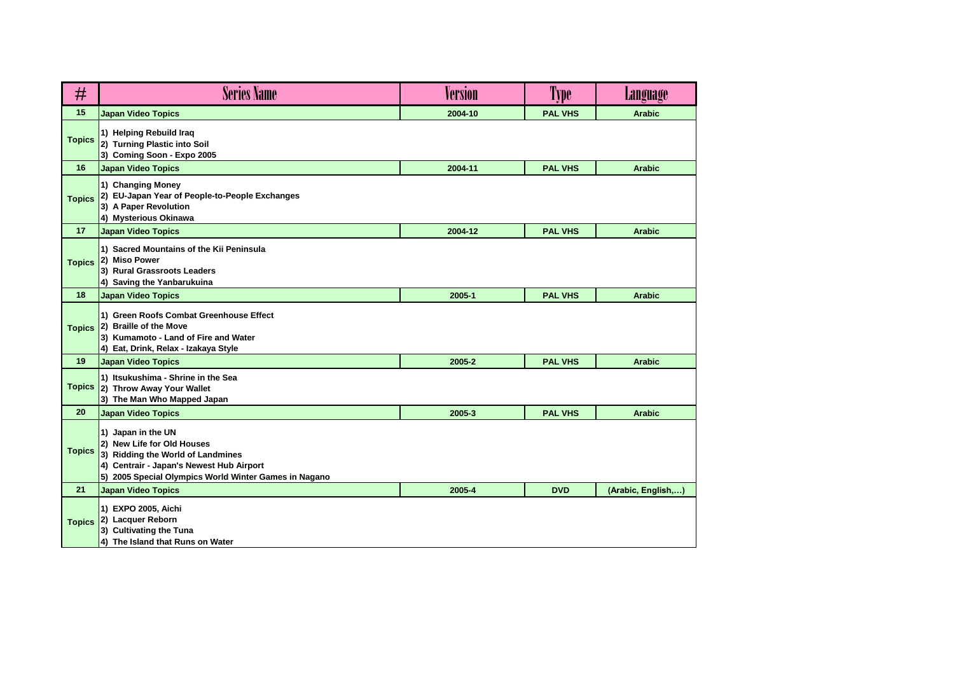| #             | <b>Series Name</b>                                                                                                                                                                         | <b>Version</b> | Type           | Language           |
|---------------|--------------------------------------------------------------------------------------------------------------------------------------------------------------------------------------------|----------------|----------------|--------------------|
| 15            | <b>Japan Video Topics</b>                                                                                                                                                                  | 2004-10        | <b>PAL VHS</b> | <b>Arabic</b>      |
| <b>Topics</b> | 1) Helping Rebuild Iraq<br>2) Turning Plastic into Soil<br>3) Coming Soon - Expo 2005                                                                                                      |                |                |                    |
| 16            | <b>Japan Video Topics</b>                                                                                                                                                                  | 2004-11        | <b>PAL VHS</b> | <b>Arabic</b>      |
| <b>Topics</b> | 1) Changing Money<br>2) EU-Japan Year of People-to-People Exchanges<br>3) A Paper Revolution<br>4) Mysterious Okinawa                                                                      |                |                |                    |
| 17            | <b>Japan Video Topics</b>                                                                                                                                                                  | 2004-12        | <b>PAL VHS</b> | <b>Arabic</b>      |
| <b>Topics</b> | 1) Sacred Mountains of the Kii Peninsula<br>2) Miso Power<br>3) Rural Grassroots Leaders<br>4) Saving the Yanbarukuina                                                                     |                |                |                    |
| 18            | <b>Japan Video Topics</b>                                                                                                                                                                  | 2005-1         | <b>PAL VHS</b> | <b>Arabic</b>      |
| <b>Topics</b> | 1) Green Roofs Combat Greenhouse Effect<br>2) Braille of the Move<br>3) Kumamoto - Land of Fire and Water<br>4) Eat, Drink, Relax - Izakaya Style                                          |                |                |                    |
| 19            | <b>Japan Video Topics</b>                                                                                                                                                                  | 2005-2         | <b>PAL VHS</b> | <b>Arabic</b>      |
| <b>Topics</b> | 1) Itsukushima - Shrine in the Sea<br>2) Throw Away Your Wallet<br>3) The Man Who Mapped Japan                                                                                             |                |                |                    |
| 20            | <b>Japan Video Topics</b>                                                                                                                                                                  | 2005-3         | <b>PAL VHS</b> | <b>Arabic</b>      |
| <b>Topics</b> | 1) Japan in the UN<br>2) New Life for Old Houses<br>3) Ridding the World of Landmines<br>4) Centrair - Japan's Newest Hub Airport<br>5) 2005 Special Olympics World Winter Games in Nagano |                |                |                    |
| 21            | <b>Japan Video Topics</b>                                                                                                                                                                  | 2005-4         | <b>DVD</b>     | (Arabic, English,) |
| <b>Topics</b> | 1) EXPO 2005, Aichi<br>2) Lacquer Reborn<br>3) Cultivating the Tuna<br>4) The Island that Runs on Water                                                                                    |                |                |                    |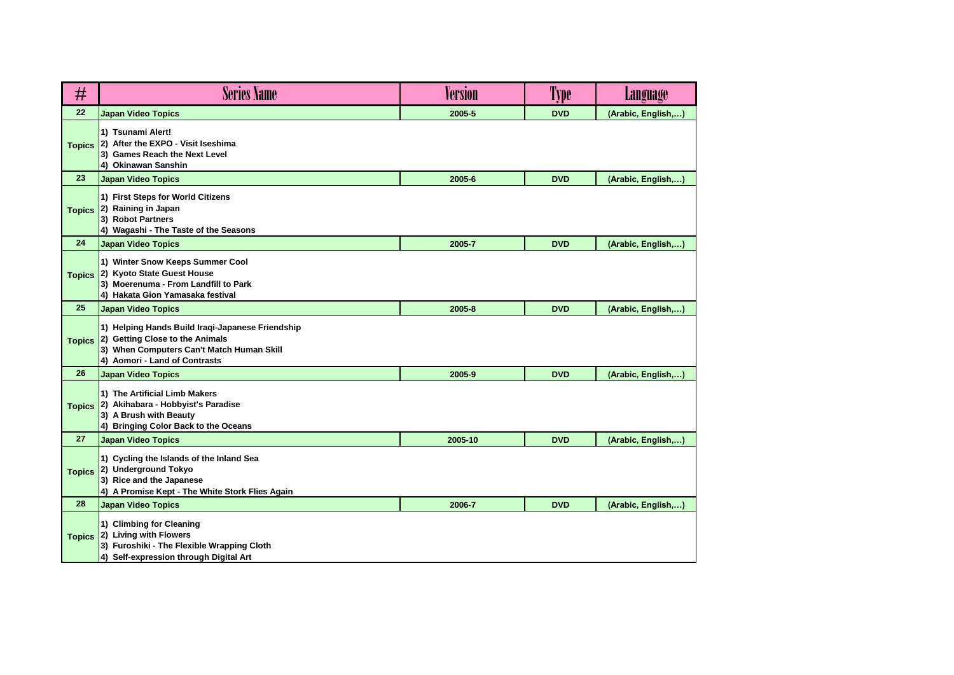| #             | <b>Series Name</b>                                                                                                                                                | <b>Version</b> | Type       | <b>Language</b>    |
|---------------|-------------------------------------------------------------------------------------------------------------------------------------------------------------------|----------------|------------|--------------------|
| 22            | <b>Japan Video Topics</b>                                                                                                                                         | 2005-5         | <b>DVD</b> | (Arabic, English,) |
| <b>Topics</b> | 1) Tsunami Alert!<br>2) After the EXPO - Visit Iseshima<br>3) Games Reach the Next Level<br>4) Okinawan Sanshin                                                   |                |            |                    |
| 23            | <b>Japan Video Topics</b>                                                                                                                                         | 2005-6         | <b>DVD</b> | (Arabic, English,) |
| <b>Topics</b> | 1) First Steps for World Citizens<br>2) Raining in Japan<br>3) Robot Partners<br>4) Wagashi - The Taste of the Seasons                                            |                |            |                    |
| 24            | <b>Japan Video Topics</b>                                                                                                                                         | 2005-7         | <b>DVD</b> | (Arabic, English,) |
| <b>Topics</b> | 1) Winter Snow Keeps Summer Cool<br>2) Kyoto State Guest House<br>3) Moerenuma - From Landfill to Park<br>4) Hakata Gion Yamasaka festival                        |                |            |                    |
| 25            | <b>Japan Video Topics</b>                                                                                                                                         | 2005-8         | <b>DVD</b> | (Arabic, English,) |
| <b>Topics</b> | 1) Helping Hands Build Iraqi-Japanese Friendship<br>2) Getting Close to the Animals<br>3) When Computers Can't Match Human Skill<br>4) Aomori - Land of Contrasts |                |            |                    |
| 26            | <b>Japan Video Topics</b>                                                                                                                                         | 2005-9         | <b>DVD</b> | (Arabic, English,) |
| <b>Topics</b> | 1) The Artificial Limb Makers<br>2) Akihabara - Hobbyist's Paradise<br>3) A Brush with Beauty<br>4) Bringing Color Back to the Oceans                             |                |            |                    |
| 27            | <b>Japan Video Topics</b>                                                                                                                                         | 2005-10        | <b>DVD</b> | (Arabic, English,) |
| <b>Topics</b> | 1) Cycling the Islands of the Inland Sea<br>2) Underground Tokyo<br>3) Rice and the Japanese<br>4) A Promise Kept - The White Stork Flies Again                   |                |            |                    |
| 28            | <b>Japan Video Topics</b>                                                                                                                                         | 2006-7         | <b>DVD</b> | (Arabic, English,) |
| <b>Topics</b> | 1) Climbing for Cleaning<br>2) Living with Flowers<br>3) Furoshiki - The Flexible Wrapping Cloth<br>4) Self-expression through Digital Art                        |                |            |                    |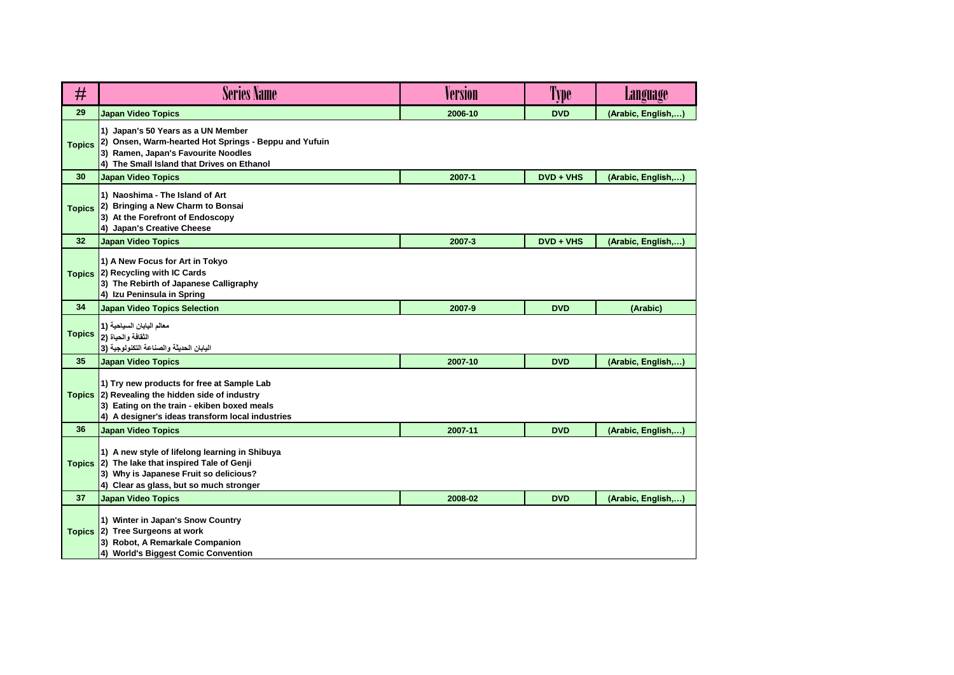| #             | <b>Series Name</b>                                                                                                                                                                               | Version | Type        | <b>Language</b>    |
|---------------|--------------------------------------------------------------------------------------------------------------------------------------------------------------------------------------------------|---------|-------------|--------------------|
| 29            | <b>Japan Video Topics</b>                                                                                                                                                                        | 2006-10 | <b>DVD</b>  | (Arabic, English,  |
| <b>Topics</b> | 1) Japan's 50 Years as a UN Member<br>2) Onsen, Warm-hearted Hot Springs - Beppu and Yufuin<br>3) Ramen, Japan's Favourite Noodles<br>4) The Small Island that Drives on Ethanol                 |         |             |                    |
| 30            | <b>Japan Video Topics</b>                                                                                                                                                                        | 2007-1  | $DVD + VHS$ | (Arabic, English,) |
| <b>Topics</b> | 1) Naoshima - The Island of Art<br>2) Bringing a New Charm to Bonsai<br>3) At the Forefront of Endoscopy<br>4) Japan's Creative Cheese                                                           |         |             |                    |
| 32            | <b>Japan Video Topics</b>                                                                                                                                                                        | 2007-3  | DVD + VHS   | (Arabic, English,) |
| <b>Topics</b> | 1) A New Focus for Art in Tokyo<br>2) Recycling with IC Cards<br>3) The Rebirth of Japanese Calligraphy<br>4) Izu Peninsula in Spring                                                            |         |             |                    |
| 34            | <b>Japan Video Topics Selection</b>                                                                                                                                                              | 2007-9  | <b>DVD</b>  | (Arabic)           |
| <b>Topics</b> | معالم اليابان السياحية (1<br>النُفَافَة والحياة (2<br>البابان الحديثة والصناعة التكنولوجية (3                                                                                                    |         |             |                    |
| 35            | <b>Japan Video Topics</b>                                                                                                                                                                        | 2007-10 | <b>DVD</b>  | (Arabic, English,) |
|               | 1) Try new products for free at Sample Lab<br>Topics 2) Revealing the hidden side of industry<br>3) Eating on the train - ekiben boxed meals<br>4) A designer's ideas transform local industries |         |             |                    |
| 36            | <b>Japan Video Topics</b>                                                                                                                                                                        | 2007-11 | <b>DVD</b>  | (Arabic, English,) |
| <b>Topics</b> | 1) A new style of lifelong learning in Shibuya<br>2) The lake that inspired Tale of Genji<br>3) Why is Japanese Fruit so delicious?<br>4) Clear as glass, but so much stronger                   |         |             |                    |
| 37            | <b>Japan Video Topics</b>                                                                                                                                                                        | 2008-02 | <b>DVD</b>  | (Arabic, English,) |
|               | 1) Winter in Japan's Snow Country<br>Topics 2) Tree Surgeons at work<br>3) Robot, A Remarkale Companion<br>4) World's Biggest Comic Convention                                                   |         |             |                    |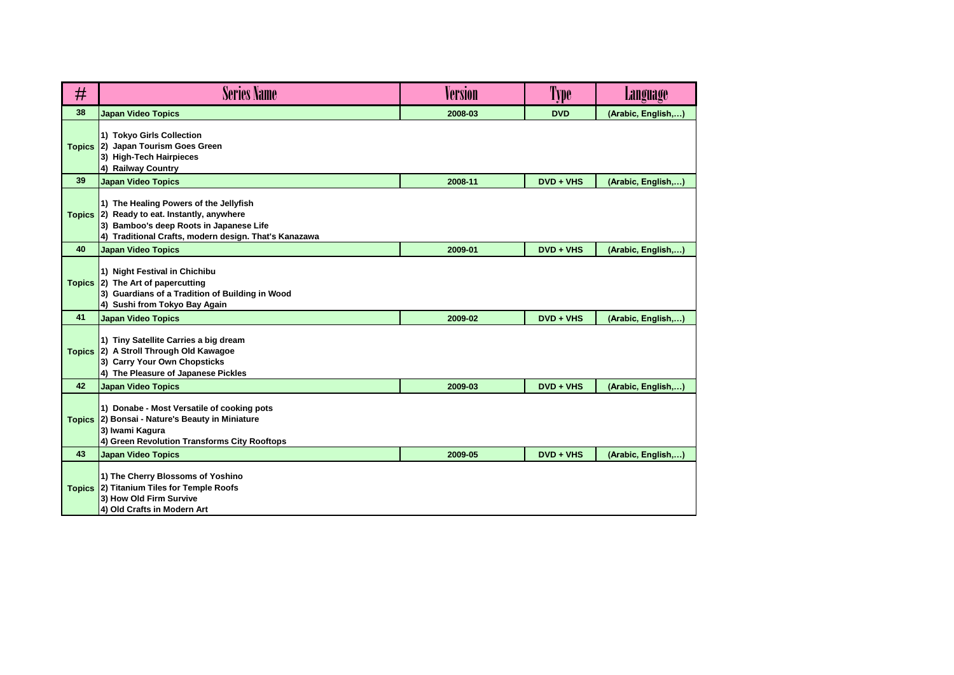| #             | <b>Series Name</b>                                                                                                                                                                 | Version | Type        | Language           |
|---------------|------------------------------------------------------------------------------------------------------------------------------------------------------------------------------------|---------|-------------|--------------------|
| 38            | <b>Japan Video Topics</b>                                                                                                                                                          | 2008-03 | <b>DVD</b>  | (Arabic, English,) |
| <b>Topics</b> | 1) Tokyo Girls Collection<br>2) Japan Tourism Goes Green<br>3) High-Tech Hairpieces<br>4) Railway Country                                                                          |         |             |                    |
| 39            | <b>Japan Video Topics</b>                                                                                                                                                          | 2008-11 | $DVD + VHS$ | (Arabic, English,) |
| <b>Topics</b> | 1) The Healing Powers of the Jellyfish<br>2) Ready to eat. Instantly, anywhere<br>3) Bamboo's deep Roots in Japanese Life<br>4) Traditional Crafts, modern design. That's Kanazawa |         |             |                    |
| 40            | <b>Japan Video Topics</b>                                                                                                                                                          | 2009-01 | DVD + VHS   | (Arabic, English,) |
|               | 1) Night Festival in Chichibu<br>Topics 2) The Art of papercutting<br>3) Guardians of a Tradition of Building in Wood<br>4) Sushi from Tokyo Bay Again                             |         |             |                    |
| 41            | <b>Japan Video Topics</b>                                                                                                                                                          | 2009-02 | $DVD + VHS$ | (Arabic, English,) |
| <b>Topics</b> | 1) Tiny Satellite Carries a big dream<br>2) A Stroll Through Old Kawagoe<br>3) Carry Your Own Chopsticks<br>4) The Pleasure of Japanese Pickles                                    |         |             |                    |
| 42            | <b>Japan Video Topics</b>                                                                                                                                                          | 2009-03 | $DVD + VHS$ | (Arabic, English,  |
| <b>Topics</b> | 1) Donabe - Most Versatile of cooking pots<br>2) Bonsai - Nature's Beauty in Miniature<br>3) Iwami Kagura<br>4) Green Revolution Transforms City Rooftops                          |         |             |                    |
| 43            | <b>Japan Video Topics</b>                                                                                                                                                          | 2009-05 | $DVD + VHS$ | (Arabic, English,) |
|               | 1) The Cherry Blossoms of Yoshino<br>Topics 2) Titanium Tiles for Temple Roofs<br>3) How Old Firm Survive<br>4) Old Crafts in Modern Art                                           |         |             |                    |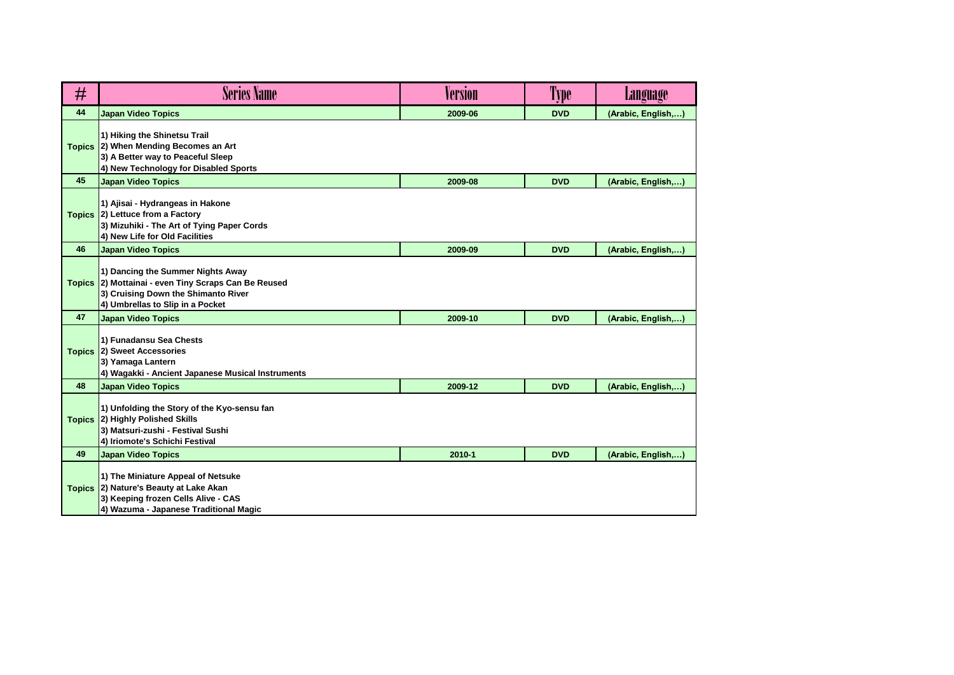| #             | <b>Series Name</b>                                                                                                                                            | Version | Type       | <b>Language</b>    |
|---------------|---------------------------------------------------------------------------------------------------------------------------------------------------------------|---------|------------|--------------------|
| 44            | <b>Japan Video Topics</b>                                                                                                                                     | 2009-06 | <b>DVD</b> | (Arabic, English,) |
| <b>Topics</b> | 1) Hiking the Shinetsu Trail<br>2) When Mending Becomes an Art<br>3) A Better way to Peaceful Sleep<br>4) New Technology for Disabled Sports                  |         |            |                    |
| 45            | <b>Japan Video Topics</b>                                                                                                                                     | 2009-08 | <b>DVD</b> | (Arabic, English,) |
| <b>Topics</b> | 1) Ajisai - Hydrangeas in Hakone<br>2) Lettuce from a Factory<br>3) Mizuhiki - The Art of Tying Paper Cords<br>4) New Life for Old Facilities                 |         |            |                    |
| 46            | <b>Japan Video Topics</b>                                                                                                                                     | 2009-09 | <b>DVD</b> | (Arabic, English,) |
| <b>Topics</b> | 1) Dancing the Summer Nights Away<br>2) Mottainai - even Tiny Scraps Can Be Reused<br>3) Cruising Down the Shimanto River<br>4) Umbrellas to Slip in a Pocket |         |            |                    |
| 47            | <b>Japan Video Topics</b>                                                                                                                                     | 2009-10 | <b>DVD</b> | (Arabic, English,) |
| <b>Topics</b> | 1) Funadansu Sea Chests<br>2) Sweet Accessories<br>3) Yamaga Lantern<br>4) Wagakki - Ancient Japanese Musical Instruments                                     |         |            |                    |
| 48            | <b>Japan Video Topics</b>                                                                                                                                     | 2009-12 | <b>DVD</b> | (Arabic, English,) |
| <b>Topics</b> | 1) Unfolding the Story of the Kyo-sensu fan<br>2) Highly Polished Skills<br>3) Matsuri-zushi - Festival Sushi<br>4) Iriomote's Schichi Festival               |         |            |                    |
| 49            | <b>Japan Video Topics</b>                                                                                                                                     | 2010-1  | <b>DVD</b> | (Arabic, English,) |
| <b>Topics</b> | 1) The Miniature Appeal of Netsuke<br>2) Nature's Beauty at Lake Akan<br>3) Keeping frozen Cells Alive - CAS<br>4) Wazuma - Japanese Traditional Magic        |         |            |                    |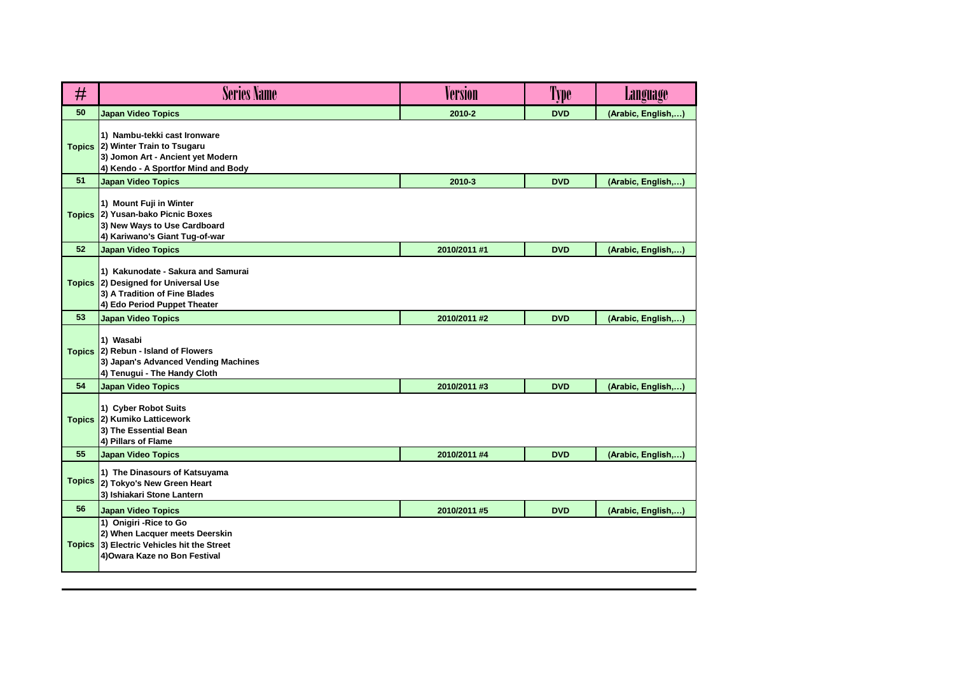| #             | <b>Series Name</b>                                                                                                                     | Version      | Type       | <b>Language</b>    |
|---------------|----------------------------------------------------------------------------------------------------------------------------------------|--------------|------------|--------------------|
| 50            | <b>Japan Video Topics</b>                                                                                                              | 2010-2       | <b>DVD</b> | (Arabic, English,) |
| <b>Topics</b> | 1) Nambu-tekki cast Ironware<br>2) Winter Train to Tsugaru<br>3) Jomon Art - Ancient yet Modern<br>4) Kendo - A Sportfor Mind and Body |              |            |                    |
| 51            | <b>Japan Video Topics</b>                                                                                                              | 2010-3       | <b>DVD</b> | (Arabic, English,) |
| <b>Topics</b> | 1) Mount Fuji in Winter<br>2) Yusan-bako Picnic Boxes<br>3) New Ways to Use Cardboard<br>4) Kariwano's Giant Tug-of-war                |              |            |                    |
| 52            | <b>Japan Video Topics</b>                                                                                                              | 2010/2011 #1 | <b>DVD</b> | (Arabic, English,) |
| <b>Topics</b> | 1) Kakunodate - Sakura and Samurai<br>2) Designed for Universal Use<br>3) A Tradition of Fine Blades<br>4) Edo Period Puppet Theater   |              |            |                    |
| 53            | <b>Japan Video Topics</b>                                                                                                              | 2010/2011 #2 | <b>DVD</b> | (Arabic, English,) |
| <b>Topics</b> | 1) Wasabi<br>2) Rebun - Island of Flowers<br>3) Japan's Advanced Vending Machines<br>4) Tenugui - The Handy Cloth                      |              |            |                    |
| 54            | <b>Japan Video Topics</b>                                                                                                              | 2010/2011 #3 | <b>DVD</b> | (Arabic, English,) |
| <b>Topics</b> | 1) Cyber Robot Suits<br>2) Kumiko Latticework<br>3) The Essential Bean<br>4) Pillars of Flame                                          |              |            |                    |
| 55            | <b>Japan Video Topics</b>                                                                                                              | 2010/2011 #4 | <b>DVD</b> | (Arabic, English,) |
| <b>Topics</b> | 1) The Dinasours of Katsuyama<br>2) Tokyo's New Green Heart<br>3) Ishiakari Stone Lantern                                              |              |            |                    |
| 56            | <b>Japan Video Topics</b>                                                                                                              | 2010/2011 #5 | <b>DVD</b> | (Arabic, English,) |
| <b>Topics</b> | 1) Onigiri - Rice to Go<br>2) When Lacquer meets Deerskin<br>3) Electric Vehicles hit the Street<br>4) Owara Kaze no Bon Festival      |              |            |                    |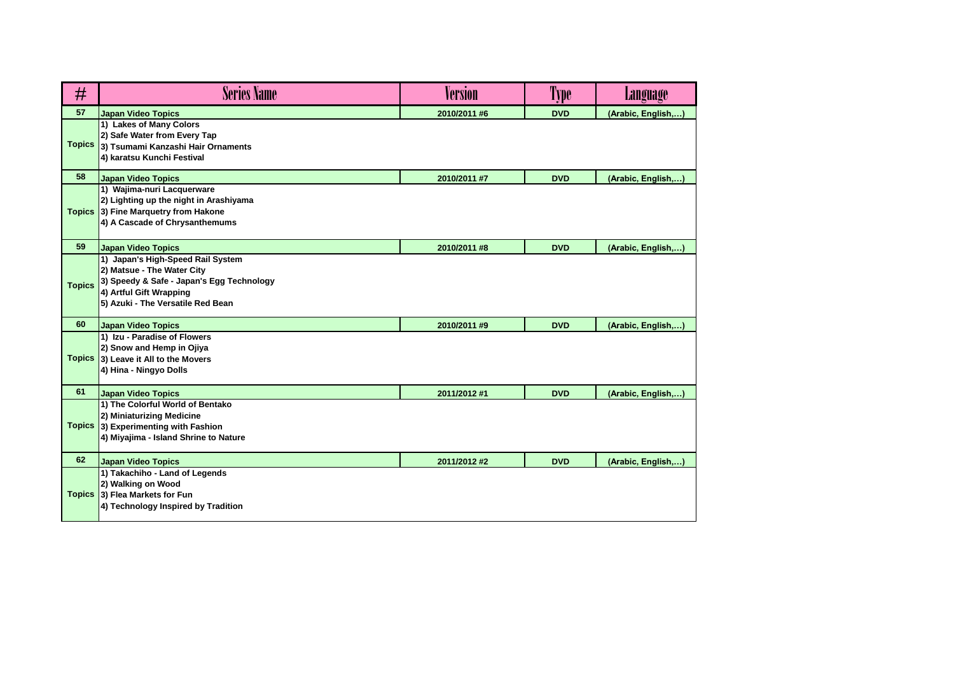| #             | <b>Series Name</b>                                                                                                                                                           | Version      | Type       | Language           |
|---------------|------------------------------------------------------------------------------------------------------------------------------------------------------------------------------|--------------|------------|--------------------|
| 57            | <b>Japan Video Topics</b>                                                                                                                                                    | 2010/2011 #6 | <b>DVD</b> | (Arabic, English,) |
| <b>Topics</b> | 1) Lakes of Many Colors<br>2) Safe Water from Every Tap<br>3) Tsumami Kanzashi Hair Ornaments<br>4) karatsu Kunchi Festival                                                  |              |            |                    |
| 58            | <b>Japan Video Topics</b>                                                                                                                                                    | 2010/2011 #7 | <b>DVD</b> | (Arabic, English,) |
| <b>Topics</b> | 1) Wajima-nuri Lacquerware<br>2) Lighting up the night in Arashiyama<br>3) Fine Marquetry from Hakone<br>4) A Cascade of Chrysanthemums                                      |              |            |                    |
| 59            | <b>Japan Video Topics</b>                                                                                                                                                    | 2010/2011 #8 | <b>DVD</b> | (Arabic, English,) |
| <b>Topics</b> | 1) Japan's High-Speed Rail System<br>2) Matsue - The Water City<br>3) Speedy & Safe - Japan's Egg Technology<br>4) Artful Gift Wrapping<br>5) Azuki - The Versatile Red Bean |              |            |                    |
| 60            | <b>Japan Video Topics</b>                                                                                                                                                    | 2010/2011 #9 | <b>DVD</b> | (Arabic, English,) |
| <b>Topics</b> | 1) Izu - Paradise of Flowers<br>2) Snow and Hemp in Ojiya<br>3) Leave it All to the Movers<br>4) Hina - Ningyo Dolls                                                         |              |            |                    |
| 61            | <b>Japan Video Topics</b>                                                                                                                                                    | 2011/2012 #1 | <b>DVD</b> | (Arabic, English,) |
|               | 1) The Colorful World of Bentako<br>2) Miniaturizing Medicine<br><b>Topics</b> 3) Experimenting with Fashion<br>4) Miyajima - Island Shrine to Nature                        |              |            |                    |
| 62            | <b>Japan Video Topics</b>                                                                                                                                                    | 2011/2012 #2 | <b>DVD</b> | (Arabic, English,  |
| <b>Topics</b> | 1) Takachiho - Land of Legends<br>2) Walking on Wood<br>3) Flea Markets for Fun<br>4) Technology Inspired by Tradition                                                       |              |            |                    |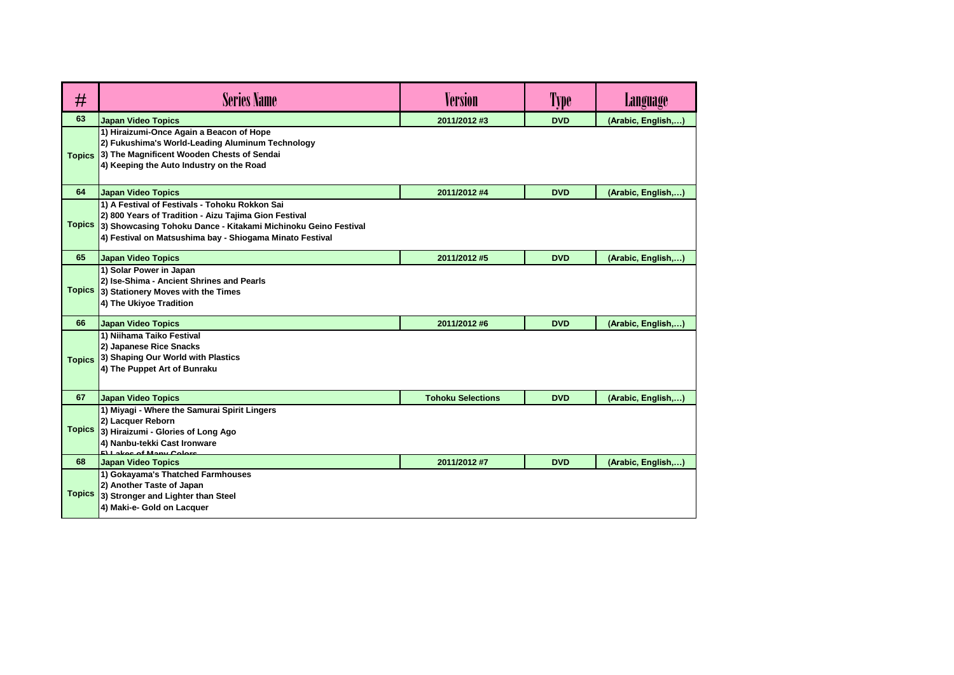| #             | <b>Series Name</b>                                                                                                                                                                                                                    | <b>Version</b>           | Type       | Language           |
|---------------|---------------------------------------------------------------------------------------------------------------------------------------------------------------------------------------------------------------------------------------|--------------------------|------------|--------------------|
| 63            | Japan Video Topics                                                                                                                                                                                                                    | 2011/2012 #3             | <b>DVD</b> | (Arabic, English,) |
| <b>Topics</b> | 1) Hiraizumi-Once Again a Beacon of Hope<br>2) Fukushima's World-Leading Aluminum Technology<br>3) The Magnificent Wooden Chests of Sendai<br>4) Keeping the Auto Industry on the Road                                                |                          |            |                    |
| 64            | <b>Japan Video Topics</b>                                                                                                                                                                                                             | 2011/2012 #4             | <b>DVD</b> | (Arabic, English,) |
| <b>Topics</b> | 1) A Festival of Festivals - Tohoku Rokkon Sai<br>2) 800 Years of Tradition - Aizu Tajima Gion Festival<br>3) Showcasing Tohoku Dance - Kitakami Michinoku Geino Festival<br>4) Festival on Matsushima bay - Shiogama Minato Festival |                          |            |                    |
| 65            | Japan Video Topics                                                                                                                                                                                                                    | 2011/2012 #5             | <b>DVD</b> | (Arabic, English,) |
| <b>Topics</b> | 1) Solar Power in Japan<br>2) Ise-Shima - Ancient Shrines and Pearls<br>3) Stationery Moves with the Times<br>4) The Ukiyoe Tradition                                                                                                 |                          |            |                    |
| 66            | <b>Japan Video Topics</b>                                                                                                                                                                                                             | 2011/2012 #6             | <b>DVD</b> | (Arabic, English,) |
| <b>Topics</b> | 1) Niihama Taiko Festival<br>2) Japanese Rice Snacks<br>3) Shaping Our World with Plastics<br>4) The Puppet Art of Bunraku                                                                                                            |                          |            |                    |
| 67            | <b>Japan Video Topics</b>                                                                                                                                                                                                             | <b>Tohoku Selections</b> | <b>DVD</b> | (Arabic, English,) |
| <b>Topics</b> | 1) Miyagi - Where the Samurai Spirit Lingers<br>2) Lacquer Reborn<br>3) Hiraizumi - Glories of Long Ago<br>4) Nanbu-tekki Cast Ironware<br><b>El Lokac of Mony Colore</b>                                                             |                          |            |                    |
| 68            | <b>Japan Video Topics</b>                                                                                                                                                                                                             | 2011/2012 #7             | <b>DVD</b> | (Arabic, English,) |
| <b>Topics</b> | 1) Gokayama's Thatched Farmhouses<br>2) Another Taste of Japan<br>3) Stronger and Lighter than Steel<br>4) Maki-e- Gold on Lacquer                                                                                                    |                          |            |                    |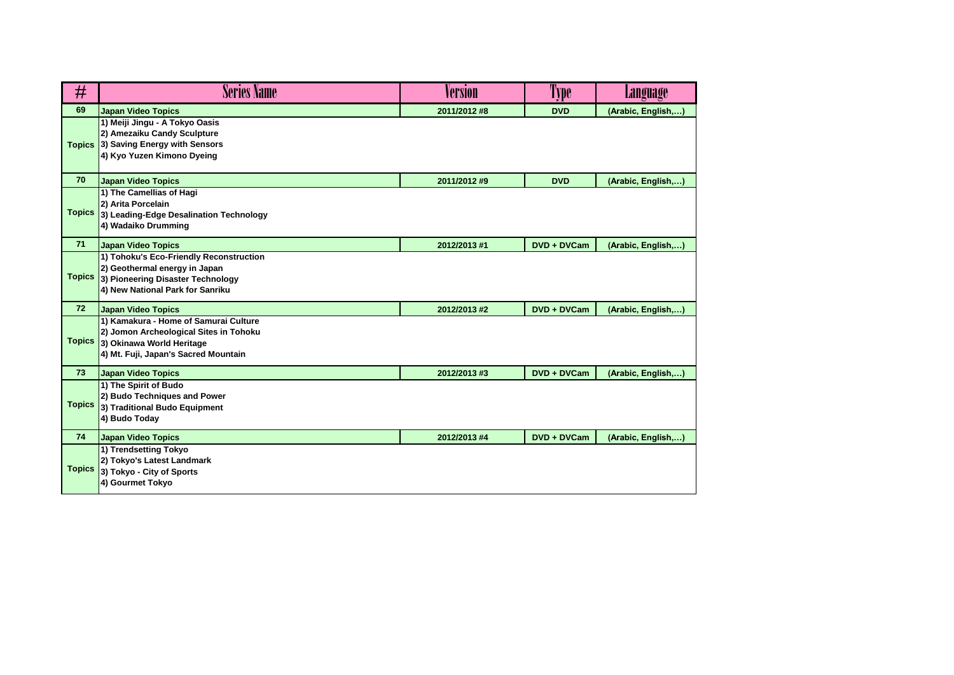| #             | <b>Series Name</b>                                                                                                                                   | Version      | <b>Type</b> | Language           |
|---------------|------------------------------------------------------------------------------------------------------------------------------------------------------|--------------|-------------|--------------------|
| 69            | <b>Japan Video Topics</b>                                                                                                                            | 2011/2012 #8 | <b>DVD</b>  | (Arabic, English,) |
| <b>Topics</b> | 1) Meiji Jingu - A Tokyo Oasis<br>2) Amezaiku Candy Sculpture<br>3) Saving Energy with Sensors<br>4) Kyo Yuzen Kimono Dyeing                         |              |             |                    |
| 70            | <b>Japan Video Topics</b>                                                                                                                            | 2011/2012 #9 | <b>DVD</b>  | (Arabic, English,) |
| <b>Topics</b> | 1) The Camellias of Hagi<br>2) Arita Porcelain<br>3) Leading-Edge Desalination Technology<br>4) Wadaiko Drumming                                     |              |             |                    |
| 71            | <b>Japan Video Topics</b>                                                                                                                            | 2012/2013 #1 | DVD + DVCam | (Arabic, English,) |
| <b>Topics</b> | 1) Tohoku's Eco-Friendly Reconstruction<br>2) Geothermal energy in Japan<br>3) Pioneering Disaster Technology<br>4) New National Park for Sanriku    |              |             |                    |
| 72            | <b>Japan Video Topics</b>                                                                                                                            | 2012/2013 #2 | DVD + DVCam | (Arabic, English,) |
| <b>Topics</b> | 1) Kamakura - Home of Samurai Culture<br>2) Jomon Archeological Sites in Tohoku<br>3) Okinawa World Heritage<br>4) Mt. Fuji, Japan's Sacred Mountain |              |             |                    |
| 73            | <b>Japan Video Topics</b>                                                                                                                            | 2012/2013 #3 | DVD + DVCam | (Arabic, English,) |
| <b>Topics</b> | 1) The Spirit of Budo<br>2) Budo Techniques and Power<br>3) Traditional Budo Equipment<br>4) Budo Today                                              |              |             |                    |
| 74            | <b>Japan Video Topics</b>                                                                                                                            | 2012/2013 #4 | DVD + DVCam | (Arabic, English,) |
| <b>Topics</b> | 1) Trendsetting Tokyo<br>2) Tokyo's Latest Landmark<br>3) Tokyo - City of Sports<br>4) Gourmet Tokyo                                                 |              |             |                    |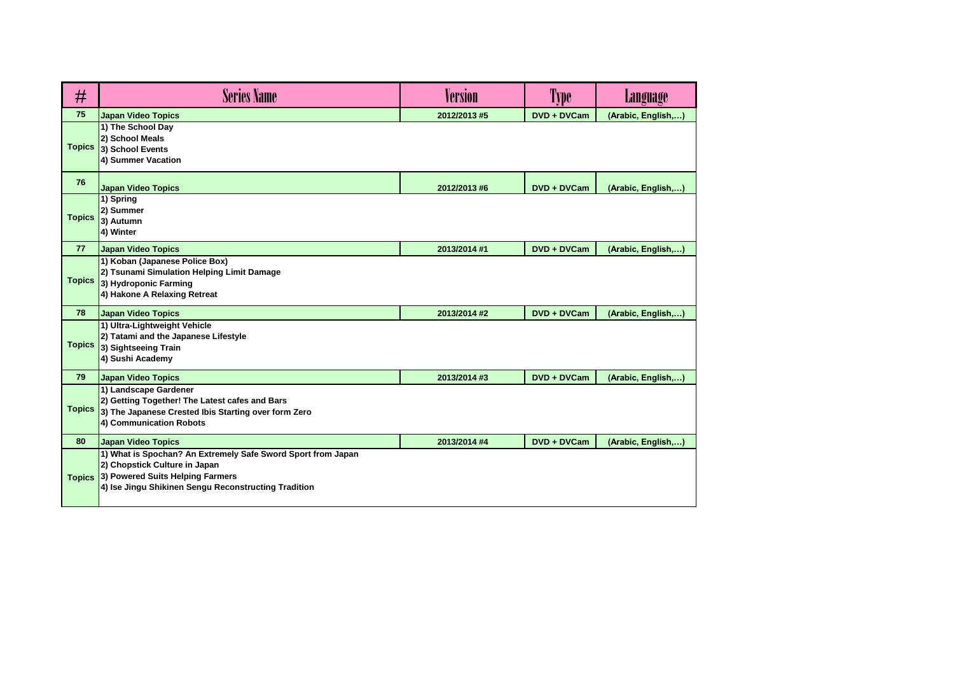| #             | <b>Series Name</b>                                                                                                                                                                        | Version      | 'l'ype      | Language           |
|---------------|-------------------------------------------------------------------------------------------------------------------------------------------------------------------------------------------|--------------|-------------|--------------------|
| 75            | <b>Japan Video Topics</b>                                                                                                                                                                 | 2012/2013 #5 | DVD + DVCam | (Arabic, English,) |
| <b>Topics</b> | 1) The School Day<br>2) School Meals<br>3) School Events<br>4) Summer Vacation                                                                                                            |              |             |                    |
| 76            | <b>Japan Video Topics</b>                                                                                                                                                                 | 2012/2013 #6 | DVD + DVCam | (Arabic, English,) |
| <b>Topics</b> | 1) Spring<br>2) Summer<br>3) Autumn<br>4) Winter                                                                                                                                          |              |             |                    |
| 77            | <b>Japan Video Topics</b>                                                                                                                                                                 | 2013/2014 #1 | DVD + DVCam | (Arabic, English,) |
| <b>Topics</b> | 1) Koban (Japanese Police Box)<br>2) Tsunami Simulation Helping Limit Damage<br>3) Hydroponic Farming<br>4) Hakone A Relaxing Retreat                                                     |              |             |                    |
| 78            | <b>Japan Video Topics</b>                                                                                                                                                                 | 2013/2014 #2 | DVD + DVCam | (Arabic, English,) |
| <b>Topics</b> | 1) Ultra-Lightweight Vehicle<br>2) Tatami and the Japanese Lifestyle<br>3) Sightseeing Train<br>4) Sushi Academy                                                                          |              |             |                    |
| 79            | <b>Japan Video Topics</b>                                                                                                                                                                 | 2013/2014 #3 | DVD + DVCam | (Arabic, English,) |
| <b>Topics</b> | 1) Landscape Gardener<br>2) Getting Together! The Latest cafes and Bars<br>3) The Japanese Crested Ibis Starting over form Zero<br>4) Communication Robots                                |              |             |                    |
| 80            | <b>Japan Video Topics</b>                                                                                                                                                                 | 2013/2014 #4 | DVD + DVCam | (Arabic, English,) |
| <b>Topics</b> | 1) What is Spochan? An Extremely Safe Sword Sport from Japan<br>2) Chopstick Culture in Japan<br>3) Powered Suits Helping Farmers<br>4) Ise Jingu Shikinen Sengu Reconstructing Tradition |              |             |                    |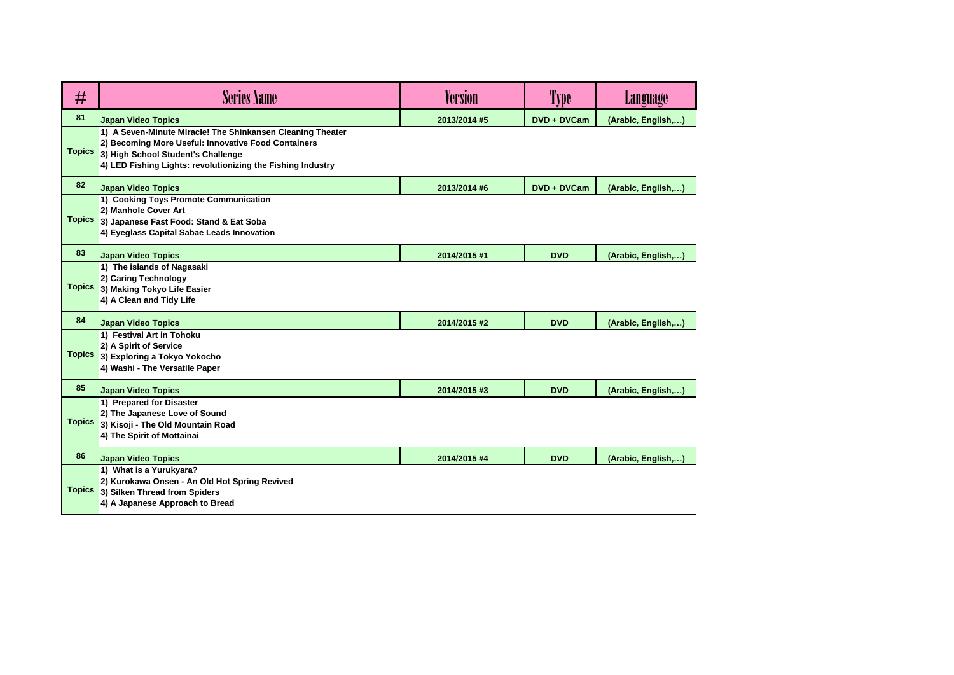| #             | <b>Series Name</b>                                                                                                                                                                                                     | Version      | Type        | Language           |
|---------------|------------------------------------------------------------------------------------------------------------------------------------------------------------------------------------------------------------------------|--------------|-------------|--------------------|
| 81            | <b>Japan Video Topics</b>                                                                                                                                                                                              | 2013/2014 #5 | DVD + DVCam | (Arabic, English,) |
| <b>Topics</b> | 1) A Seven-Minute Miracle! The Shinkansen Cleaning Theater<br>2) Becoming More Useful: Innovative Food Containers<br>3) High School Student's Challenge<br>4) LED Fishing Lights: revolutionizing the Fishing Industry |              |             |                    |
| 82            | <b>Japan Video Topics</b>                                                                                                                                                                                              | 2013/2014 #6 | DVD + DVCam | (Arabic, English,) |
| <b>Topics</b> | 1) Cooking Toys Promote Communication<br>2) Manhole Cover Art<br>3) Japanese Fast Food: Stand & Eat Soba<br>4) Eyeglass Capital Sabae Leads Innovation                                                                 |              |             |                    |
| 83            | <b>Japan Video Topics</b>                                                                                                                                                                                              | 2014/2015 #1 | <b>DVD</b>  | (Arabic, English,) |
| <b>Topics</b> | 1) The islands of Nagasaki<br>2) Caring Technology<br>3) Making Tokyo Life Easier<br>4) A Clean and Tidy Life                                                                                                          |              |             |                    |
| 84            | <b>Japan Video Topics</b>                                                                                                                                                                                              | 2014/2015 #2 | <b>DVD</b>  | (Arabic, English,) |
| <b>Topics</b> | 1) Festival Art in Tohoku<br>2) A Spirit of Service<br>3) Exploring a Tokyo Yokocho<br>4) Washi - The Versatile Paper                                                                                                  |              |             |                    |
| 85            | <b>Japan Video Topics</b>                                                                                                                                                                                              | 2014/2015 #3 | <b>DVD</b>  | (Arabic, English,) |
| <b>Topics</b> | 1) Prepared for Disaster<br>2) The Japanese Love of Sound<br>3) Kisoji - The Old Mountain Road<br>4) The Spirit of Mottainai                                                                                           |              |             |                    |
| 86            | <b>Japan Video Topics</b>                                                                                                                                                                                              | 2014/2015 #4 | <b>DVD</b>  | (Arabic, English,) |
| <b>Topics</b> | 1) What is a Yurukyara?<br>2) Kurokawa Onsen - An Old Hot Spring Revived<br>3) Silken Thread from Spiders<br>4) A Japanese Approach to Bread                                                                           |              |             |                    |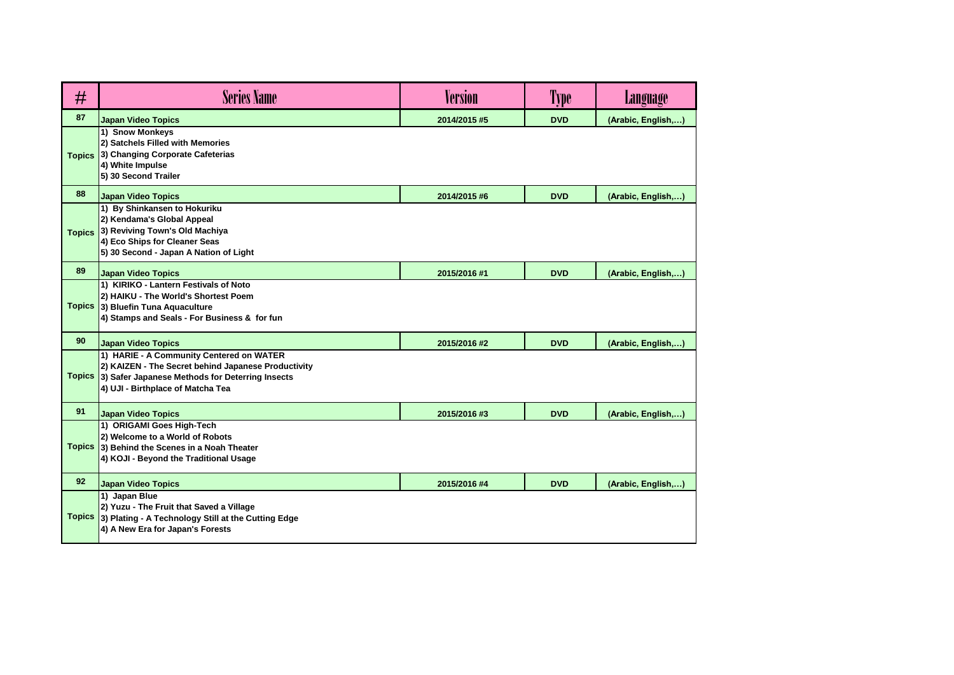| #             | <b>Series Name</b>                                                                                                                                                                      | <b>Version</b> | Type       | <b>Language</b>    |
|---------------|-----------------------------------------------------------------------------------------------------------------------------------------------------------------------------------------|----------------|------------|--------------------|
| 87            | <b>Japan Video Topics</b>                                                                                                                                                               | 2014/2015 #5   | <b>DVD</b> | (Arabic, English,) |
| <b>Topics</b> | 1) Snow Monkeys<br>2) Satchels Filled with Memories<br>3) Changing Corporate Cafeterias<br>4) White Impulse<br>5) 30 Second Trailer                                                     |                |            |                    |
| 88            | <b>Japan Video Topics</b>                                                                                                                                                               | 2014/2015 #6   | <b>DVD</b> | (Arabic, English,) |
| <b>Topics</b> | 1) By Shinkansen to Hokuriku<br>2) Kendama's Global Appeal<br>3) Reviving Town's Old Machiya<br>4) Eco Ships for Cleaner Seas<br>5) 30 Second - Japan A Nation of Light                 |                |            |                    |
| 89            | <b>Japan Video Topics</b>                                                                                                                                                               | 2015/2016 #1   | <b>DVD</b> | (Arabic, English,) |
|               | 1) KIRIKO - Lantern Festivals of Noto<br>2) HAIKU - The World's Shortest Poem<br>Topics 3) Bluefin Tuna Aquaculture<br>4) Stamps and Seals - For Business & for fun                     |                |            |                    |
| 90            | <b>Japan Video Topics</b>                                                                                                                                                               | 2015/2016 #2   | <b>DVD</b> | (Arabic, English,) |
| <b>Topics</b> | 1) HARIE - A Community Centered on WATER<br>2) KAIZEN - The Secret behind Japanese Productivity<br>3) Safer Japanese Methods for Deterring Insects<br>4) UJI - Birthplace of Matcha Tea |                |            |                    |
| 91            | <b>Japan Video Topics</b>                                                                                                                                                               | 2015/2016 #3   | <b>DVD</b> | (Arabic, English,) |
|               | 1) ORIGAMI Goes High-Tech<br>2) Welcome to a World of Robots<br>Topics 3) Behind the Scenes in a Noah Theater<br>4) KOJI - Beyond the Traditional Usage                                 |                |            |                    |
| 92            | <b>Japan Video Topics</b>                                                                                                                                                               | 2015/2016 #4   | <b>DVD</b> | (Arabic, English,) |
| <b>Topics</b> | 1) Japan Blue<br>2) Yuzu - The Fruit that Saved a Village<br>3) Plating - A Technology Still at the Cutting Edge<br>4) A New Era for Japan's Forests                                    |                |            |                    |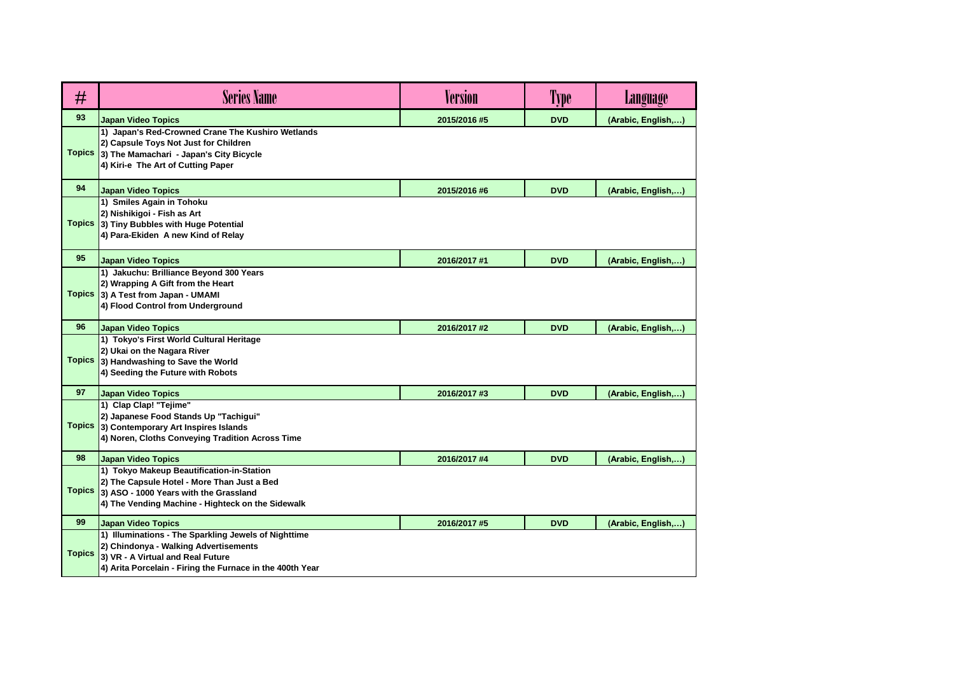| #             | <b>Series Name</b>                                                                                                                                                                              | <b>Version</b> | Type       | <b>Language</b>    |
|---------------|-------------------------------------------------------------------------------------------------------------------------------------------------------------------------------------------------|----------------|------------|--------------------|
| 93            | <b>Japan Video Topics</b>                                                                                                                                                                       | 2015/2016 #5   | <b>DVD</b> | (Arabic, English,) |
| <b>Topics</b> | 1) Japan's Red-Crowned Crane The Kushiro Wetlands<br>2) Capsule Toys Not Just for Children<br>3) The Mamachari - Japan's City Bicycle<br>4) Kiri-e The Art of Cutting Paper                     |                |            |                    |
| 94            | <b>Japan Video Topics</b>                                                                                                                                                                       | 2015/2016 #6   | <b>DVD</b> | (Arabic, English,) |
|               | 1) Smiles Again in Tohoku<br>2) Nishikigoi - Fish as Art<br>Topics 3) Tiny Bubbles with Huge Potential<br>4) Para-Ekiden A new Kind of Relay                                                    |                |            |                    |
| 95            | <b>Japan Video Topics</b>                                                                                                                                                                       | 2016/2017 #1   | <b>DVD</b> | (Arabic, English,) |
|               | 1) Jakuchu: Brilliance Beyond 300 Years<br>2) Wrapping A Gift from the Heart<br>Topics 3) A Test from Japan - UMAMI<br>4) Flood Control from Underground                                        |                |            |                    |
| 96            | <b>Japan Video Topics</b>                                                                                                                                                                       | 2016/2017 #2   | <b>DVD</b> | (Arabic, English,) |
| <b>Topics</b> | 1) Tokyo's First World Cultural Heritage<br>2) Ukai on the Nagara River<br>3) Handwashing to Save the World<br>4) Seeding the Future with Robots                                                |                |            |                    |
| 97            | <b>Japan Video Topics</b>                                                                                                                                                                       | 2016/2017 #3   | <b>DVD</b> | (Arabic, English,) |
| <b>Topics</b> | 1) Clap Clap! "Tejime"<br>2) Japanese Food Stands Up "Tachigui"<br>3) Contemporary Art Inspires Islands<br>4) Noren, Cloths Conveying Tradition Across Time                                     |                |            |                    |
| 98            | <b>Japan Video Topics</b>                                                                                                                                                                       | 2016/2017 #4   | <b>DVD</b> | (Arabic, English,) |
| <b>Topics</b> | 1) Tokyo Makeup Beautification-in-Station<br>2) The Capsule Hotel - More Than Just a Bed<br>3) ASO - 1000 Years with the Grassland<br>4) The Vending Machine - Highteck on the Sidewalk         |                |            |                    |
| 99            | <b>Japan Video Topics</b>                                                                                                                                                                       | 2016/2017 #5   | <b>DVD</b> | (Arabic, English,) |
| <b>Topics</b> | 1) Illuminations - The Sparkling Jewels of Nighttime<br>2) Chindonya - Walking Advertisements<br>3) VR - A Virtual and Real Future<br>4) Arita Porcelain - Firing the Furnace in the 400th Year |                |            |                    |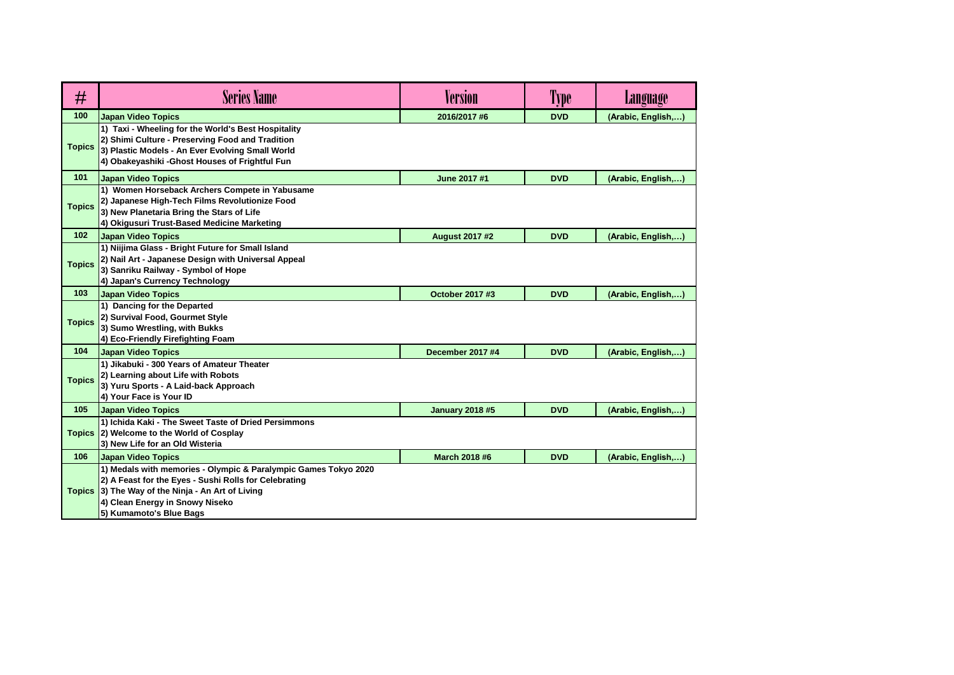| #             | <b>Series Name</b>                                                                                                                                                                                                                          | <b>Version</b>          | 'l'ype     | <b>Language</b>    |
|---------------|---------------------------------------------------------------------------------------------------------------------------------------------------------------------------------------------------------------------------------------------|-------------------------|------------|--------------------|
| 100           | <b>Japan Video Topics</b>                                                                                                                                                                                                                   | 2016/2017 #6            | <b>DVD</b> | (Arabic, English,) |
| <b>Topics</b> | 1) Taxi - Wheeling for the World's Best Hospitality<br>2) Shimi Culture - Preserving Food and Tradition<br>3) Plastic Models - An Ever Evolving Small World<br>4) Obakeyashiki - Ghost Houses of Frightful Fun                              |                         |            |                    |
| 101           | <b>Japan Video Topics</b>                                                                                                                                                                                                                   | June 2017 #1            | <b>DVD</b> | (Arabic, English,) |
| <b>Topics</b> | 1) Women Horseback Archers Compete in Yabusame<br>2) Japanese High-Tech Films Revolutionize Food<br>3) New Planetaria Bring the Stars of Life<br>4) Okigusuri Trust-Based Medicine Marketing                                                |                         |            |                    |
| 102           | <b>Japan Video Topics</b>                                                                                                                                                                                                                   | <b>August 2017 #2</b>   | <b>DVD</b> | (Arabic, English,) |
| <b>Topics</b> | 1) Niijima Glass - Bright Future for Small Island<br>2) Nail Art - Japanese Design with Universal Appeal<br>3) Sanriku Railway - Symbol of Hope<br>4) Japan's Currency Technology                                                           |                         |            |                    |
| 103           | Japan Video Topics                                                                                                                                                                                                                          | October 2017 #3         | <b>DVD</b> | (Arabic, English,) |
| <b>Topics</b> | 1) Dancing for the Departed<br>2) Survival Food, Gourmet Style<br>3) Sumo Wrestling, with Bukks<br>4) Eco-Friendly Firefighting Foam                                                                                                        |                         |            |                    |
| 104           | Japan Video Topics                                                                                                                                                                                                                          | <b>December 2017 #4</b> | <b>DVD</b> | (Arabic, English,  |
| <b>Topics</b> | 1) Jikabuki - 300 Years of Amateur Theater<br>2) Learning about Life with Robots<br>3) Yuru Sports - A Laid-back Approach<br>4) Your Face is Your ID                                                                                        |                         |            |                    |
| 105           | <b>Japan Video Topics</b>                                                                                                                                                                                                                   | <b>January 2018 #5</b>  | <b>DVD</b> | (Arabic, English,) |
| <b>Topics</b> | 1) Ichida Kaki - The Sweet Taste of Dried Persimmons<br>2) Welcome to the World of Cosplay<br>3) New Life for an Old Wisteria                                                                                                               |                         |            |                    |
| 106           | <b>Japan Video Topics</b>                                                                                                                                                                                                                   | March 2018 #6           | <b>DVD</b> | (Arabic, English,) |
|               | 1) Medals with memories - Olympic & Paralympic Games Tokyo 2020<br>2) A Feast for the Eyes - Sushi Rolls for Celebrating<br>Topics 3) The Way of the Ninja - An Art of Living<br>4) Clean Energy in Snowy Niseko<br>5) Kumamoto's Blue Bags |                         |            |                    |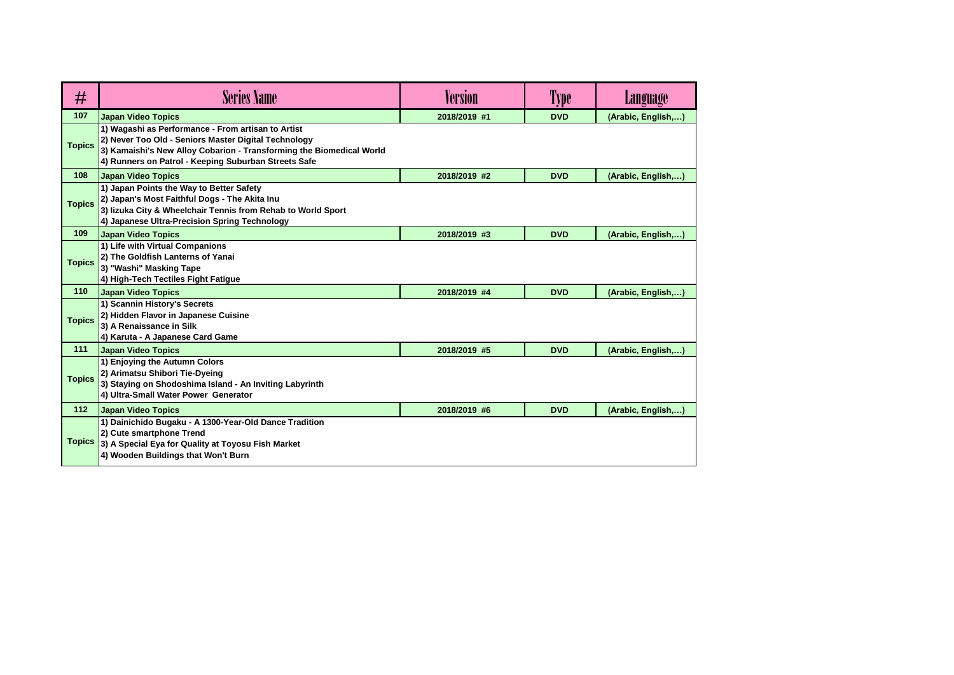| #             | <b>Series Name</b>                                                                                                                                                                                                                         | <b>Version</b> | Type       | Language           |
|---------------|--------------------------------------------------------------------------------------------------------------------------------------------------------------------------------------------------------------------------------------------|----------------|------------|--------------------|
| 107           | <b>Japan Video Topics</b>                                                                                                                                                                                                                  | 2018/2019 #1   | <b>DVD</b> | (Arabic, English,) |
| <b>Topics</b> | 1) Wagashi as Performance - From artisan to Artist<br>2) Never Too Old - Seniors Master Digital Technology<br>3) Kamaishi's New Alloy Cobarion - Transforming the Biomedical World<br>4) Runners on Patrol - Keeping Suburban Streets Safe |                |            |                    |
| 108           | <b>Japan Video Topics</b>                                                                                                                                                                                                                  | 2018/2019 #2   | <b>DVD</b> | (Arabic, English,) |
| <b>Topics</b> | 1) Japan Points the Way to Better Safety<br>2) Japan's Most Faithful Dogs - The Akita Inu<br>3) lizuka City & Wheelchair Tennis from Rehab to World Sport<br>4) Japanese Ultra-Precision Spring Technology                                 |                |            |                    |
| 109           | <b>Japan Video Topics</b>                                                                                                                                                                                                                  | 2018/2019 #3   | <b>DVD</b> | (Arabic, English,) |
| <b>Topics</b> | 1) Life with Virtual Companions<br>2) The Goldfish Lanterns of Yanai<br>3) "Washi" Masking Tape<br>4) High-Tech Tectiles Fight Fatigue                                                                                                     |                |            |                    |
| 110           | <b>Japan Video Topics</b>                                                                                                                                                                                                                  | 2018/2019 #4   | <b>DVD</b> | (Arabic, English,) |
| <b>Topics</b> | 1) Scannin History's Secrets<br>2) Hidden Flavor in Japanese Cuisine<br>3) A Renaissance in Silk<br>4) Karuta - A Japanese Card Game                                                                                                       |                |            |                    |
| 111           | <b>Japan Video Topics</b>                                                                                                                                                                                                                  | 2018/2019 #5   | <b>DVD</b> | (Arabic, English,) |
| <b>Topics</b> | 1) Enjoying the Autumn Colors<br>2) Arimatsu Shibori Tie-Dyeing<br>3) Staying on Shodoshima Island - An Inviting Labyrinth<br>4) Ultra-Small Water Power Generator                                                                         |                |            |                    |
| $112$         | <b>Japan Video Topics</b>                                                                                                                                                                                                                  | 2018/2019 #6   | <b>DVD</b> | (Arabic, English,) |
| <b>Topics</b> | 1) Dainichido Bugaku - A 1300-Year-Old Dance Tradition<br>2) Cute smartphone Trend<br>3) A Special Eya for Quality at Toyosu Fish Market<br>4) Wooden Buildings that Won't Burn                                                            |                |            |                    |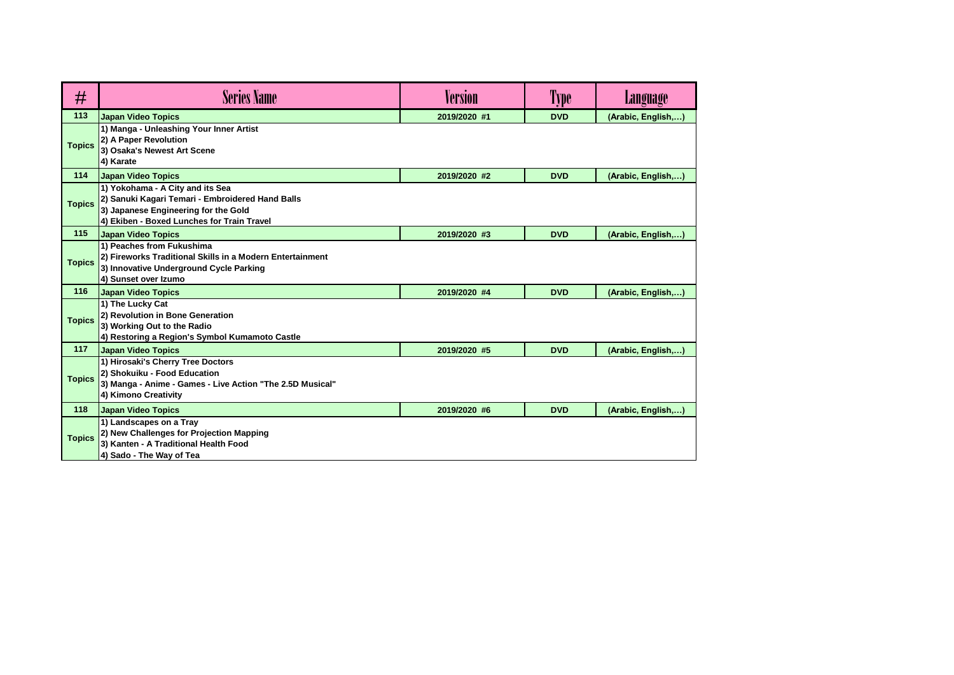| #             | <b>Series Name</b>                                                                                                                                                         | <b>Version</b> | 'l'ype     | Language           |
|---------------|----------------------------------------------------------------------------------------------------------------------------------------------------------------------------|----------------|------------|--------------------|
| 113           | <b>Japan Video Topics</b>                                                                                                                                                  | 2019/2020 #1   | <b>DVD</b> | (Arabic, English,) |
| <b>Topics</b> | 1) Manga - Unleashing Your Inner Artist<br>2) A Paper Revolution<br>3) Osaka's Newest Art Scene<br>4) Karate                                                               |                |            |                    |
| 114           | <b>Japan Video Topics</b>                                                                                                                                                  | 2019/2020 #2   | <b>DVD</b> | (Arabic, English,) |
| <b>Topics</b> | 1) Yokohama - A City and its Sea<br>2) Sanuki Kagari Temari - Embroidered Hand Balls<br>3) Japanese Engineering for the Gold<br>4) Ekiben - Boxed Lunches for Train Travel |                |            |                    |
| 115           | Japan Video Topics                                                                                                                                                         | 2019/2020 #3   | <b>DVD</b> | (Arabic, English,) |
| <b>Topics</b> | 1) Peaches from Fukushima<br>2) Fireworks Traditional Skills in a Modern Entertainment<br>3) Innovative Underground Cycle Parking<br>4) Sunset over Izumo                  |                |            |                    |
| 116           | <b>Japan Video Topics</b>                                                                                                                                                  | 2019/2020 #4   | <b>DVD</b> | (Arabic, English,) |
| <b>Topics</b> | 1) The Lucky Cat<br>2) Revolution in Bone Generation<br>3) Working Out to the Radio<br>4) Restoring a Region's Symbol Kumamoto Castle                                      |                |            |                    |
| 117           | <b>Japan Video Topics</b>                                                                                                                                                  | 2019/2020 #5   | <b>DVD</b> | (Arabic, English,) |
| <b>Topics</b> | 1) Hirosaki's Cherry Tree Doctors<br>2) Shokuiku - Food Education<br>3) Manga - Anime - Games - Live Action "The 2.5D Musical"<br>4) Kimono Creativity                     |                |            |                    |
| 118           | <b>Japan Video Topics</b>                                                                                                                                                  | 2019/2020 #6   | <b>DVD</b> | (Arabic, English,) |
| <b>Topics</b> | 1) Landscapes on a Tray<br>2) New Challenges for Projection Mapping<br>3) Kanten - A Traditional Health Food<br>4) Sado - The Way of Tea                                   |                |            |                    |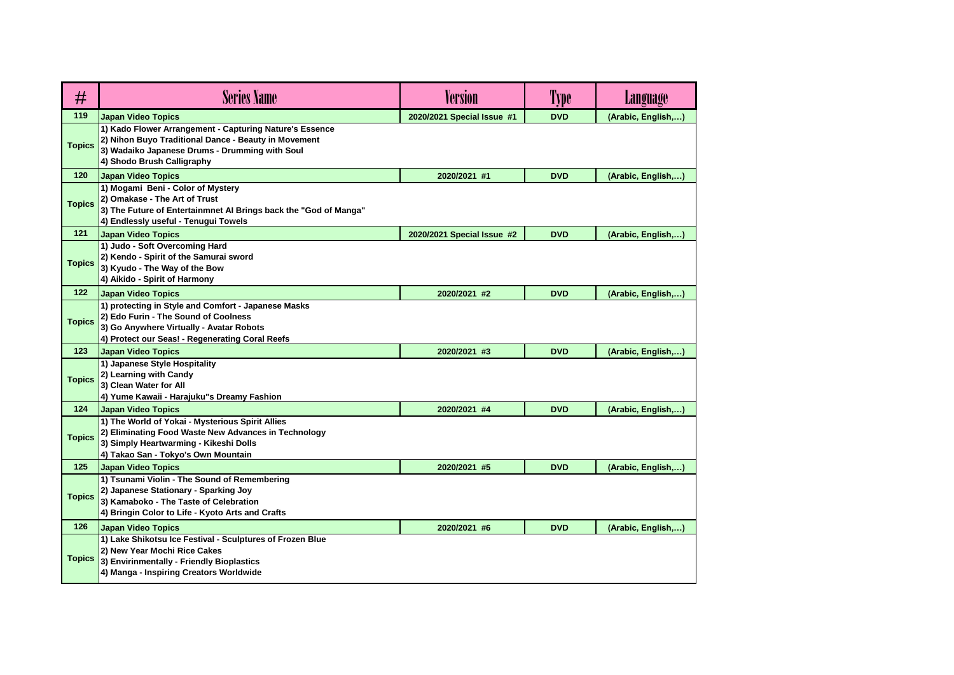| #             | <b>Series Name</b>                                                                                                                                                                              | <b>Version</b>             | Type       | <b>Language</b>    |
|---------------|-------------------------------------------------------------------------------------------------------------------------------------------------------------------------------------------------|----------------------------|------------|--------------------|
| 119           | <b>Japan Video Topics</b>                                                                                                                                                                       | 2020/2021 Special Issue #1 | <b>DVD</b> | (Arabic, English,) |
| <b>Topics</b> | 1) Kado Flower Arrangement - Capturing Nature's Essence<br>2) Nihon Buyo Traditional Dance - Beauty in Movement<br>3) Wadaiko Japanese Drums - Drumming with Soul<br>4) Shodo Brush Calligraphy |                            |            |                    |
| 120           | <b>Japan Video Topics</b>                                                                                                                                                                       | 2020/2021 #1               | <b>DVD</b> | (Arabic, English,) |
| <b>Topics</b> | 1) Mogami Beni - Color of Mystery<br>2) Omakase - The Art of Trust<br>3) The Future of Entertainmnet Al Brings back the "God of Manga"<br>4) Endlessly useful - Tenugui Towels                  |                            |            |                    |
| 121           | <b>Japan Video Topics</b>                                                                                                                                                                       | 2020/2021 Special Issue #2 | <b>DVD</b> | (Arabic, English,) |
| <b>Topics</b> | 1) Judo - Soft Overcoming Hard<br>2) Kendo - Spirit of the Samurai sword<br>3) Kyudo - The Way of the Bow<br>4) Aikido - Spirit of Harmony                                                      |                            |            |                    |
| $122$         | <b>Japan Video Topics</b>                                                                                                                                                                       | 2020/2021 #2               | <b>DVD</b> | (Arabic, English,) |
| <b>Topics</b> | 1) protecting in Style and Comfort - Japanese Masks<br>2) Edo Furin - The Sound of Coolness<br>3) Go Anywhere Virtually - Avatar Robots<br>4) Protect our Seas! - Regenerating Coral Reefs      |                            |            |                    |
| 123           | <b>Japan Video Topics</b>                                                                                                                                                                       | 2020/2021 #3               | <b>DVD</b> | (Arabic, English,) |
| <b>Topics</b> | 1) Japanese Style Hospitality<br>2) Learning with Candy<br>3) Clean Water for All<br>4) Yume Kawaii - Harajuku"s Dreamy Fashion                                                                 |                            |            |                    |
| 124           | <b>Japan Video Topics</b>                                                                                                                                                                       | 2020/2021 #4               | <b>DVD</b> | (Arabic, English,) |
| <b>Topics</b> | 1) The World of Yokai - Mysterious Spirit Allies<br>2) Eliminating Food Waste New Advances in Technology<br>3) Simply Heartwarming - Kikeshi Dolls<br>4) Takao San - Tokyo's Own Mountain       |                            |            |                    |
| 125           | <b>Japan Video Topics</b>                                                                                                                                                                       | 2020/2021 #5               | <b>DVD</b> | (Arabic, English,) |
| <b>Topics</b> | 1) Tsunami Violin - The Sound of Remembering<br>2) Japanese Stationary - Sparking Joy<br>3) Kamaboko - The Taste of Celebration<br>4) Bringin Color to Life - Kyoto Arts and Crafts             |                            |            |                    |
| 126           | <b>Japan Video Topics</b>                                                                                                                                                                       | 2020/2021 #6               | <b>DVD</b> | (Arabic, English,) |
| <b>Topics</b> | 1) Lake Shikotsu Ice Festival - Sculptures of Frozen Blue<br>2) New Year Mochi Rice Cakes<br>3) Envirinmentally - Friendly Bioplastics<br>4) Manga - Inspiring Creators Worldwide               |                            |            |                    |